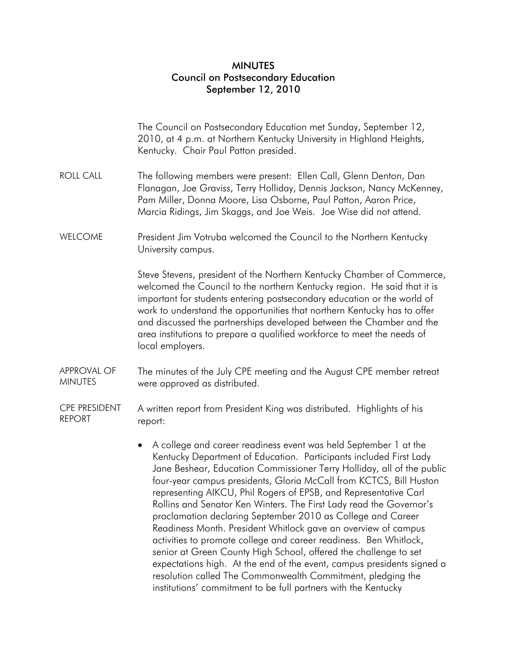## MINUTES Council on Postsecondary Education September 12, 2010

|                                       | The Council on Postsecondary Education met Sunday, September 12,<br>2010, at 4 p.m. at Northern Kentucky University in Highland Heights,<br>Kentucky. Chair Paul Patton presided.                                                                                                                                                                                                                                                                                                                                                                                                                                                                                                                                                                                                                                                                                                                                                   |
|---------------------------------------|-------------------------------------------------------------------------------------------------------------------------------------------------------------------------------------------------------------------------------------------------------------------------------------------------------------------------------------------------------------------------------------------------------------------------------------------------------------------------------------------------------------------------------------------------------------------------------------------------------------------------------------------------------------------------------------------------------------------------------------------------------------------------------------------------------------------------------------------------------------------------------------------------------------------------------------|
| <b>ROLL CALL</b>                      | The following members were present: Ellen Call, Glenn Denton, Dan<br>Flanagan, Joe Graviss, Terry Holliday, Dennis Jackson, Nancy McKenney,<br>Pam Miller, Donna Moore, Lisa Osborne, Paul Patton, Aaron Price,<br>Marcia Ridings, Jim Skaggs, and Joe Weis. Joe Wise did not attend.                                                                                                                                                                                                                                                                                                                                                                                                                                                                                                                                                                                                                                               |
| <b>WELCOME</b>                        | President Jim Votruba welcomed the Council to the Northern Kentucky<br>University campus.                                                                                                                                                                                                                                                                                                                                                                                                                                                                                                                                                                                                                                                                                                                                                                                                                                           |
|                                       | Steve Stevens, president of the Northern Kentucky Chamber of Commerce,<br>welcomed the Council to the northern Kentucky region. He said that it is<br>important for students entering postsecondary education or the world of<br>work to understand the opportunities that northern Kentucky has to offer<br>and discussed the partnerships developed between the Chamber and the<br>area institutions to prepare a qualified workforce to meet the needs of<br>local employers.                                                                                                                                                                                                                                                                                                                                                                                                                                                    |
| <b>APPROVAL OF</b><br><b>MINUTES</b>  | The minutes of the July CPE meeting and the August CPE member retreat<br>were approved as distributed.                                                                                                                                                                                                                                                                                                                                                                                                                                                                                                                                                                                                                                                                                                                                                                                                                              |
| <b>CPE PRESIDENT</b><br><b>REPORT</b> | A written report from President King was distributed. Highlights of his<br>report:                                                                                                                                                                                                                                                                                                                                                                                                                                                                                                                                                                                                                                                                                                                                                                                                                                                  |
|                                       | A college and career readiness event was held September 1 at the<br>$\bullet$<br>Kentucky Department of Education. Participants included First Lady<br>Jane Beshear, Education Commissioner Terry Holliday, all of the public<br>four-year campus presidents, Gloria McCall from KCTCS, Bill Huston<br>representing AIKCU, Phil Rogers of EPSB, and Representative Carl<br>Rollins and Senator Ken Winters. The First Lady read the Governor's<br>proclamation declaring September 2010 as College and Career<br>Readiness Month. President Whitlock gave an overview of campus<br>activities to promote college and career readiness. Ben Whitlock,<br>senior at Green County High School, offered the challenge to set<br>expectations high. At the end of the event, campus presidents signed a<br>resolution called The Commonwealth Commitment, pledging the<br>institutions' commitment to be full partners with the Kentucky |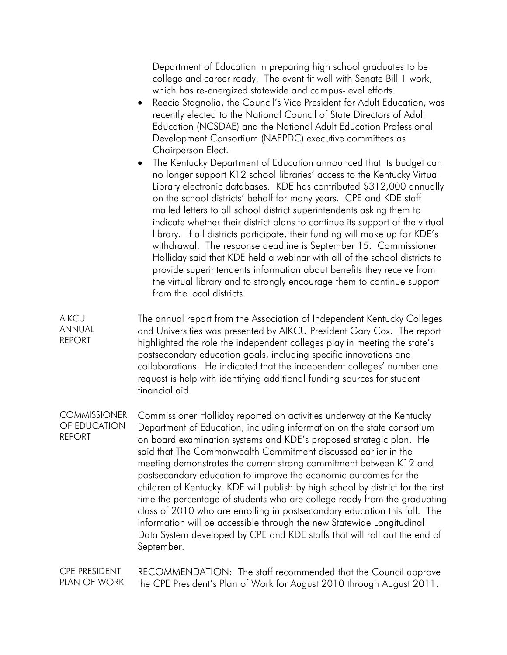Department of Education in preparing high school graduates to be college and career ready. The event fit well with Senate Bill 1 work, which has re-energized statewide and campus-level efforts.

- Reecie Stagnolia, the Council's Vice President for Adult Education, was recently elected to the National Council of State Directors of Adult Education (NCSDAE) and the National Adult Education Professional Development Consortium (NAEPDC) executive committees as Chairperson Elect.
- The Kentucky Department of Education announced that its budget can no longer support K12 school libraries' access to the Kentucky Virtual Library electronic databases. KDE has contributed \$312,000 annually on the school districts' behalf for many years. CPE and KDE staff mailed letters to all school district superintendents asking them to indicate whether their district plans to continue its support of the virtual library. If all districts participate, their funding will make up for KDE's withdrawal. The response deadline is September 15. Commissioner Holliday said that KDE held a webinar with all of the school districts to provide superintendents information about benefits they receive from the virtual library and to strongly encourage them to continue support from the local districts.

**AIKCU** ANNUAL REPORT The annual report from the Association of Independent Kentucky Colleges and Universities was presented by AIKCU President Gary Cox. The report highlighted the role the independent colleges play in meeting the state's postsecondary education goals, including specific innovations and collaborations. He indicated that the independent colleges' number one request is help with identifying additional funding sources for student financial aid.

**COMMISSIONER** OF EDUCATION REPORT Commissioner Holliday reported on activities underway at the Kentucky Department of Education, including information on the state consortium on board examination systems and KDE's proposed strategic plan. He said that The Commonwealth Commitment discussed earlier in the meeting demonstrates the current strong commitment between K12 and postsecondary education to improve the economic outcomes for the children of Kentucky. KDE will publish by high school by district for the first time the percentage of students who are college ready from the graduating class of 2010 who are enrolling in postsecondary education this fall. The information will be accessible through the new Statewide Longitudinal Data System developed by CPE and KDE staffs that will roll out the end of September.

CPE PRESIDENT PLAN OF WORK RECOMMENDATION: The staff recommended that the Council approve the CPE President's Plan of Work for August 2010 through August 2011.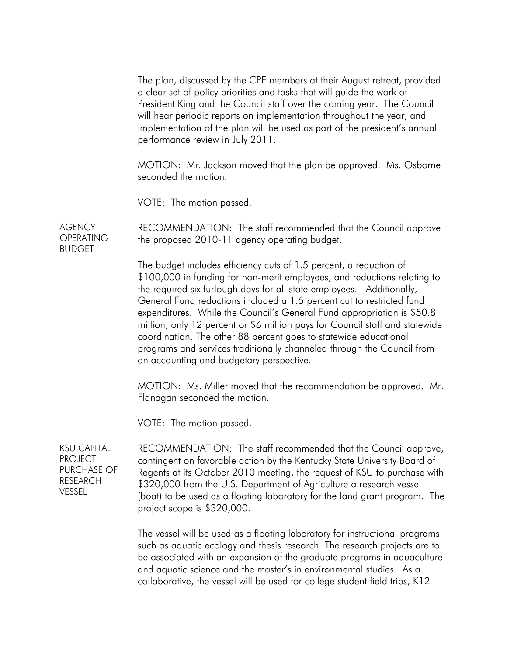The plan, discussed by the CPE members at their August retreat, provided a clear set of policy priorities and tasks that will guide the work of President King and the Council staff over the coming year. The Council will hear periodic reports on implementation throughout the year, and implementation of the plan will be used as part of the president's annual performance review in July 2011.

MOTION: Mr. Jackson moved that the plan be approved. Ms. Osborne seconded the motion.

VOTE: The motion passed.

AGENCY **OPERATING** BUDGET RECOMMENDATION: The staff recommended that the Council approve the proposed 2010-11 agency operating budget.

> The budget includes efficiency cuts of 1.5 percent, a reduction of \$100,000 in funding for non-merit employees, and reductions relating to the required six furlough days for all state employees. Additionally, General Fund reductions included a 1.5 percent cut to restricted fund expenditures. While the Council's General Fund appropriation is \$50.8 million, only 12 percent or \$6 million pays for Council staff and statewide coordination. The other 88 percent goes to statewide educational programs and services traditionally channeled through the Council from an accounting and budgetary perspective.

> MOTION: Ms. Miller moved that the recommendation be approved. Mr. Flanagan seconded the motion.

VOTE: The motion passed.

KSU CAPITAL  $PROJECT -$ PURCHASE OF RESEARCH VESSEL

RECOMMENDATION: The staff recommended that the Council approve, contingent on favorable action by the Kentucky State University Board of Regents at its October 2010 meeting, the request of KSU to purchase with \$320,000 from the U.S. Department of Agriculture a research vessel (boat) to be used as a floating laboratory for the land grant program. The project scope is \$320,000.

The vessel will be used as a floating laboratory for instructional programs such as aquatic ecology and thesis research. The research projects are to be associated with an expansion of the graduate programs in aquaculture and aquatic science and the master's in environmental studies. As a collaborative, the vessel will be used for college student field trips, K12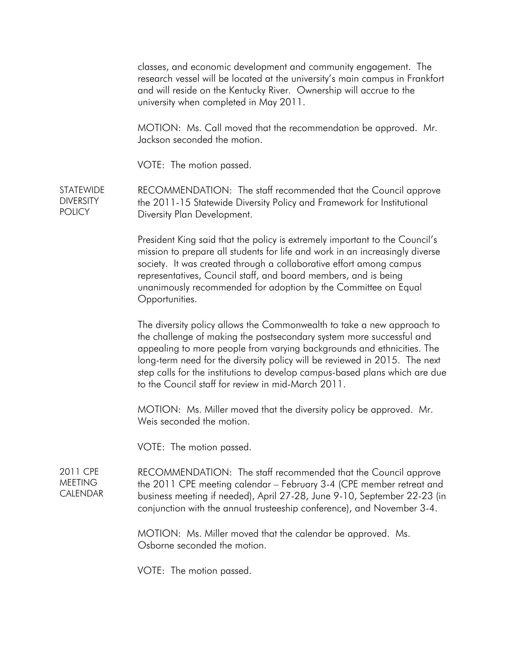classes, and economic development and community engagement. The research vessel will be located at the university's main campus in Frankfort and will reside on the Kentucky River. Ownership will accrue to the university when completed in May 2011. MOTION: Ms. Call moved that the recommendation be approved. Mr. Jackson seconded the motion. VOTE: The motion passed. STATEWIDE **DIVERSITY POLICY** RECOMMENDATION: The staff recommended that the Council approve the 2011-15 Statewide Diversity Policy and Framework for Institutional Diversity Plan Development. President King said that the policy is extremely important to the Council's mission to prepare all students for life and work in an increasingly diverse society. It was created through a collaborative effort among campus representatives, Council staff, and board members, and is being unanimously recommended for adoption by the Committee on Equal Opportunities. The diversity policy allows the Commonwealth to take a new approach to the challenge of making the postsecondary system more successful and appealing to more people from varying backgrounds and ethnicities. The long-term need for the diversity policy will be reviewed in 2015. The next step calls for the institutions to develop campus-based plans which are due to the Council staff for review in mid-March 2011. MOTION: Ms. Miller moved that the diversity policy be approved. Mr. Weis seconded the motion. VOTE: The motion passed. 2011 CPE MEETING CALENDAR RECOMMENDATION: The staff recommended that the Council approve the 2011 CPE meeting calendar – February 3-4 (CPE member retreat and business meeting if needed), April 27-28, June 9-10, September 22-23 (in conjunction with the annual trusteeship conference), and November 3-4. MOTION: Ms. Miller moved that the calendar be approved. Ms. Osborne seconded the motion. VOTE: The motion passed.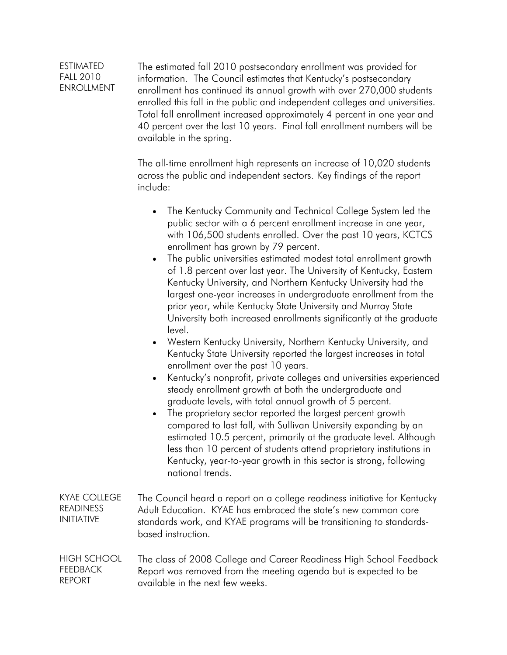## ESTIMATED FALL 2010 ENROLLMENT The estimated fall 2010 postsecondary enrollment was provided for information. The Council estimates that Kentucky's postsecondary enrollment has continued its annual growth with over 270,000 students enrolled this fall in the public and independent colleges and universities. Total fall enrollment increased approximately 4 percent in one year and 40 percent over the last 10 years. Final fall enrollment numbers will be

available in the spring.

The all-time enrollment high represents an increase of 10,020 students across the public and independent sectors. Key findings of the report include:

- The Kentucky Community and Technical College System led the public sector with a 6 percent enrollment increase in one year, with 106,500 students enrolled. Over the past 10 years, KCTCS enrollment has grown by 79 percent.
- The public universities estimated modest total enrollment growth of 1.8 percent over last year. The University of Kentucky, Eastern Kentucky University, and Northern Kentucky University had the largest one-year increases in undergraduate enrollment from the prior year, while Kentucky State University and Murray State University both increased enrollments significantly at the graduate level.
- Western Kentucky University, Northern Kentucky University, and Kentucky State University reported the largest increases in total enrollment over the past 10 years.
- Kentucky's nonprofit, private colleges and universities experienced steady enrollment growth at both the undergraduate and graduate levels, with total annual growth of 5 percent.
- The proprietary sector reported the largest percent growth compared to last fall, with Sullivan University expanding by an estimated 10.5 percent, primarily at the graduate level. Although less than 10 percent of students attend proprietary institutions in Kentucky, year-to-year growth in this sector is strong, following national trends.
- KYAE COLLEGE READINESS INITIATIVE The Council heard a report on a college readiness initiative for Kentucky Adult Education. KYAE has embraced the state's new common core standards work, and KYAE programs will be transitioning to standardsbased instruction.

## HIGH SCHOOL FEEDBACK REPORT The class of 2008 College and Career Readiness High School Feedback Report was removed from the meeting agenda but is expected to be available in the next few weeks.